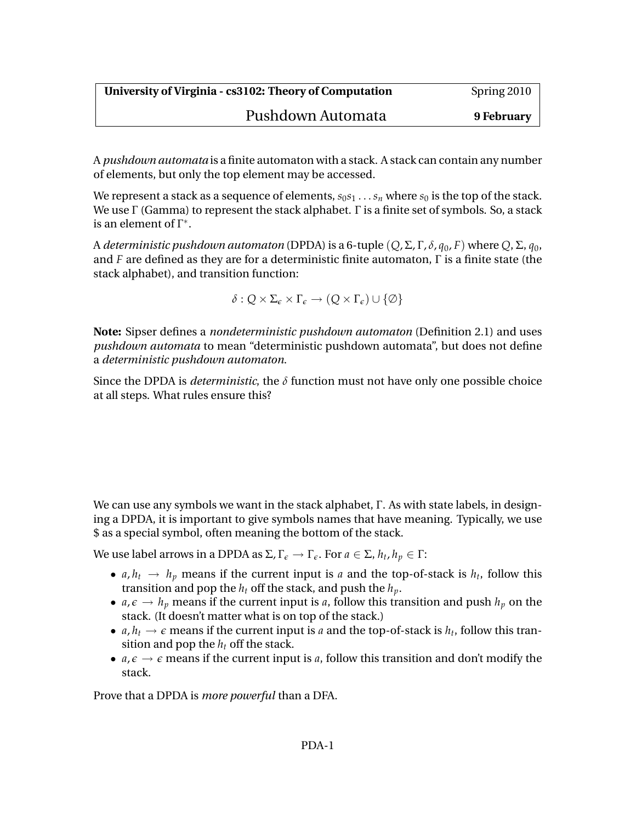## Pushdown Automata **9 February**

A *pushdown automata* is a finite automaton with a stack. A stack can contain any number of elements, but only the top element may be accessed.

We represent a stack as a sequence of elements,  $s_0s_1 \ldots s_n$  where  $s_0$  is the top of the stack. We use Γ (Gamma) to represent the stack alphabet. Γ is a finite set of symbols. So, a stack is an element of  $\Gamma^*$ .

A *deterministic pushdown automaton* (DPDA) is a 6-tuple (*Q*, Σ, Γ, *δ*, *q*0, *F*) where *Q*, Σ, *q*0, and *F* are defined as they are for a deterministic finite automaton, Γ is a finite state (the stack alphabet), and transition function:

 $\delta$  :  $Q \times \Sigma_{\epsilon} \times \Gamma_{\epsilon} \rightarrow (Q \times \Gamma_{\epsilon}) \cup {\emptyset}$ 

**Note:** Sipser defines a *nondeterministic pushdown automaton* (Definition 2.1) and uses *pushdown automata* to mean "deterministic pushdown automata", but does not define a *deterministic pushdown automaton*.

Since the DPDA is *deterministic*, the *δ* function must not have only one possible choice at all steps. What rules ensure this?

We can use any symbols we want in the stack alphabet, Γ. As with state labels, in designing a DPDA, it is important to give symbols names that have meaning. Typically, we use \$ as a special symbol, often meaning the bottom of the stack.

We use label arrows in a DPDA as Σ, Γ*<sup>e</sup>* → Γ*e*. For *a* ∈ Σ, *h<sup>t</sup>* , *h<sup>p</sup>* ∈ Γ:

- *a*,  $h_t \rightarrow h_p$  means if the current input is *a* and the top-of-stack is  $h_t$ , follow this transition and pop the  $h_t$  off the stack, and push the  $h_p$ .
- $a, \epsilon \rightarrow h_p$  means if the current input is a, follow this transition and push  $h_p$  on the stack. (It doesn't matter what is on top of the stack.)
- *a*,  $h_t \rightarrow \epsilon$  means if the current input is *a* and the top-of-stack is  $h_t$ , follow this transition and pop the  $h_t$  off the stack.
- $a, \epsilon \rightarrow \epsilon$  means if the current input is a, follow this transition and don't modify the stack.

Prove that a DPDA is *more powerful* than a DFA.